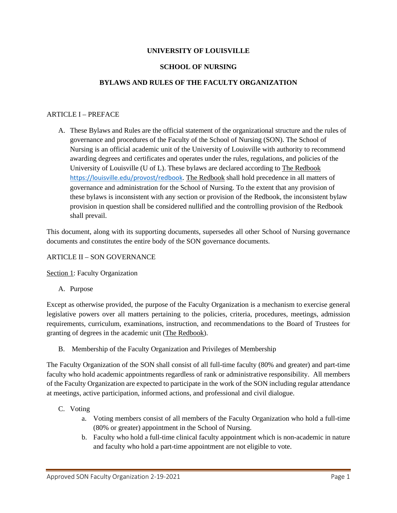## **UNIVERSITY OF LOUISVILLE**

#### **SCHOOL OF NURSING**

## **BYLAWS AND RULES OF THE FACULTY ORGANIZATION**

#### ARTICLE I – PREFACE

A. These Bylaws and Rules are the official statement of the organizational structure and the rules of governance and procedures of the Faculty of the School of Nursing (SON). The School of Nursing is an official academic unit of the University of Louisville with authority to recommend awarding degrees and certificates and operates under the rules, regulations, and policies of the University of Louisville (U of L). These bylaws are declared according to The Redbook <https://louisville.edu/provost/redbook>. The Redbook shall hold precedence in all matters of governance and administration for the School of Nursing. To the extent that any provision of these bylaws is inconsistent with any section or provision of the Redbook, the inconsistent bylaw provision in question shall be considered nullified and the controlling provision of the Redbook shall prevail.

This document, along with its supporting documents, supersedes all other School of Nursing governance documents and constitutes the entire body of the SON governance documents.

#### ARTICLE II – SON GOVERNANCE

Section 1: Faculty Organization

A. Purpose

Except as otherwise provided, the purpose of the Faculty Organization is a mechanism to exercise general legislative powers over all matters pertaining to the policies, criteria, procedures, meetings, admission requirements, curriculum, examinations, instruction, and recommendations to the Board of Trustees for granting of degrees in the academic unit (The Redbook).

B. Membership of the Faculty Organization and Privileges of Membership

The Faculty Organization of the SON shall consist of all full-time faculty (80% and greater) and part-time faculty who hold academic appointments regardless of rank or administrative responsibility. All members of the Faculty Organization are expected to participate in the work of the SON including regular attendance at meetings, active participation, informed actions, and professional and civil dialogue.

- C. Voting
	- a. Voting members consist of all members of the Faculty Organization who hold a full-time (80% or greater) appointment in the School of Nursing.
	- b. Faculty who hold a full-time clinical faculty appointment which is non-academic in nature and faculty who hold a part-time appointment are not eligible to vote.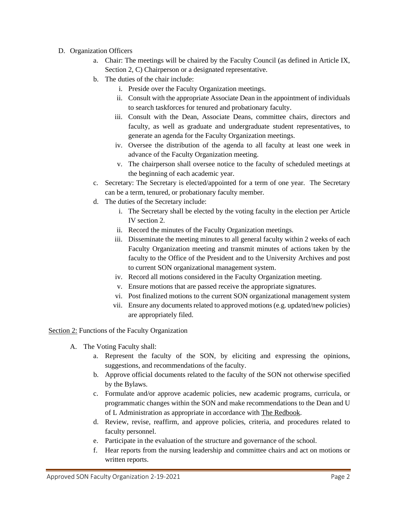## D. Organization Officers

- a. Chair: The meetings will be chaired by the Faculty Council (as defined in Article IX, Section 2, C) Chairperson or a designated representative.
- b. The duties of the chair include:
	- i. Preside over the Faculty Organization meetings.
	- ii. Consult with the appropriate Associate Dean in the appointment of individuals to search taskforces for tenured and probationary faculty.
	- iii. Consult with the Dean, Associate Deans, committee chairs, directors and faculty, as well as graduate and undergraduate student representatives, to generate an agenda for the Faculty Organization meetings.
	- iv. Oversee the distribution of the agenda to all faculty at least one week in advance of the Faculty Organization meeting.
	- v. The chairperson shall oversee notice to the faculty of scheduled meetings at the beginning of each academic year.
- c. Secretary: The Secretary is elected/appointed for a term of one year. The Secretary can be a term, tenured, or probationary faculty member.
- d. The duties of the Secretary include:
	- i. The Secretary shall be elected by the voting faculty in the election per Article IV section 2.
	- ii. Record the minutes of the Faculty Organization meetings.
	- iii. Disseminate the meeting minutes to all general faculty within 2 weeks of each Faculty Organization meeting and transmit minutes of actions taken by the faculty to the Office of the President and to the University Archives and post to current SON organizational management system.
	- iv. Record all motions considered in the Faculty Organization meeting.
	- v. Ensure motions that are passed receive the appropriate signatures.
	- vi. Post finalized motions to the current SON organizational management system
	- vii. Ensure any documents related to approved motions (e.g. updated/new policies) are appropriately filed.

Section 2: Functions of the Faculty Organization

- A. The Voting Faculty shall:
	- a. Represent the faculty of the SON, by eliciting and expressing the opinions, suggestions, and recommendations of the faculty.
	- b. Approve official documents related to the faculty of the SON not otherwise specified by the Bylaws.
	- c. Formulate and/or approve academic policies, new academic programs, curricula, or programmatic changes within the SON and make recommendations to the Dean and U of L Administration as appropriate in accordance with The Redbook.
	- d. Review, revise, reaffirm, and approve policies, criteria, and procedures related to faculty personnel.
	- e. Participate in the evaluation of the structure and governance of the school.
	- f. Hear reports from the nursing leadership and committee chairs and act on motions or written reports.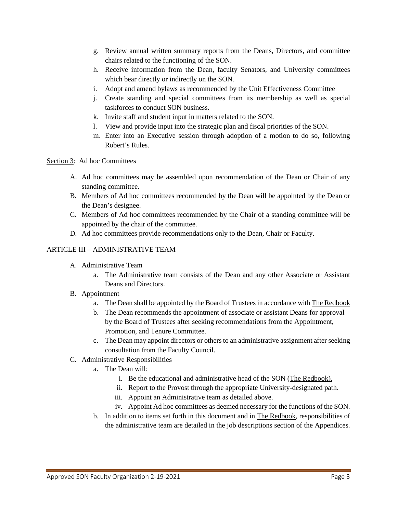- g. Review annual written summary reports from the Deans, Directors, and committee chairs related to the functioning of the SON.
- h. Receive information from the Dean, faculty Senators, and University committees which bear directly or indirectly on the SON.
- i. Adopt and amend bylaws as recommended by the Unit Effectiveness Committee
- j. Create standing and special committees from its membership as well as special taskforces to conduct SON business.
- k. Invite staff and student input in matters related to the SON.
- l. View and provide input into the strategic plan and fiscal priorities of the SON.
- m. Enter into an Executive session through adoption of a motion to do so, following Robert's Rules.

#### Section 3: Ad hoc Committees

- A. Ad hoc committees may be assembled upon recommendation of the Dean or Chair of any standing committee.
- B. Members of Ad hoc committees recommended by the Dean will be appointed by the Dean or the Dean's designee.
- C. Members of Ad hoc committees recommended by the Chair of a standing committee will be appointed by the chair of the committee.
- D. Ad hoc committees provide recommendations only to the Dean, Chair or Faculty.

### ARTICLE III – ADMINISTRATIVE TEAM

- A. Administrative Team
	- a. The Administrative team consists of the Dean and any other Associate or Assistant Deans and Directors.
- B. Appointment
	- a. The Dean shall be appointed by the Board of Trustees in accordance with The Redbook
	- b. The Dean recommends the appointment of associate or assistant Deans for approval by the Board of Trustees after seeking recommendations from the Appointment, Promotion, and Tenure Committee.
	- c. The Dean may appoint directors or others to an administrative assignment after seeking consultation from the Faculty Council.
- C. Administrative Responsibilities
	- a. The Dean will:
		- i. Be the educational and administrative head of the SON (The Redbook).
		- ii. Report to the Provost through the appropriate University-designated path.
		- iii. Appoint an Administrative team as detailed above.
		- iv. Appoint Ad hoc committees as deemed necessary for the functions of the SON.
	- b. In addition to items set forth in this document and in The Redbook, responsibilities of the administrative team are detailed in the job descriptions section of the Appendices.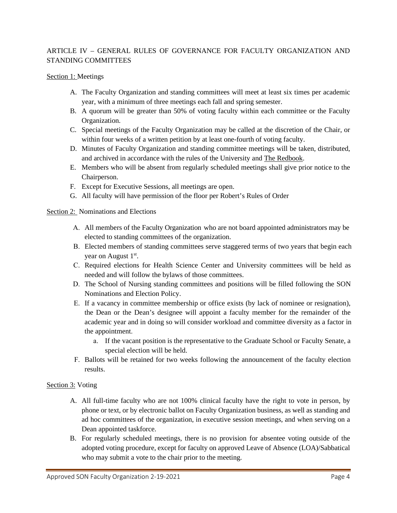# ARTICLE IV – GENERAL RULES OF GOVERNANCE FOR FACULTY ORGANIZATION AND STANDING COMMITTEES

### Section 1: Meetings

- A. The Faculty Organization and standing committees will meet at least six times per academic year, with a minimum of three meetings each fall and spring semester.
- B. A quorum will be greater than 50% of voting faculty within each committee or the Faculty Organization.
- C. Special meetings of the Faculty Organization may be called at the discretion of the Chair, or within four weeks of a written petition by at least one-fourth of voting faculty.
- D. Minutes of Faculty Organization and standing committee meetings will be taken, distributed, and archived in accordance with the rules of the University and The Redbook.
- E. Members who will be absent from regularly scheduled meetings shall give prior notice to the Chairperson.
- F. Except for Executive Sessions, all meetings are open.
- G. All faculty will have permission of the floor per Robert's Rules of Order

## Section 2: Nominations and Elections

- A. All members of the Faculty Organization who are not board appointed administrators may be elected to standing committees of the organization.
- B. Elected members of standing committees serve staggered terms of two years that begin each year on August 1<sup>st</sup>.
- C. Required elections for Health Science Center and University committees will be held as needed and will follow the bylaws of those committees.
- D. The School of Nursing standing committees and positions will be filled following the SON Nominations and Election Policy.
- E. If a vacancy in committee membership or office exists (by lack of nominee or resignation), the Dean or the Dean's designee will appoint a faculty member for the remainder of the academic year and in doing so will consider workload and committee diversity as a factor in the appointment.
	- a. If the vacant position is the representative to the Graduate School or Faculty Senate, a special election will be held.
- F. Ballots will be retained for two weeks following the announcement of the faculty election results.

## Section 3: Voting

- A. All full-time faculty who are not 100% clinical faculty have the right to vote in person, by phone or text, or by electronic ballot on Faculty Organization business, as well as standing and ad hoc committees of the organization, in executive session meetings, and when serving on a Dean appointed taskforce.
- B. For regularly scheduled meetings, there is no provision for absentee voting outside of the adopted voting procedure, except for faculty on approved Leave of Absence (LOA)/Sabbatical who may submit a vote to the chair prior to the meeting.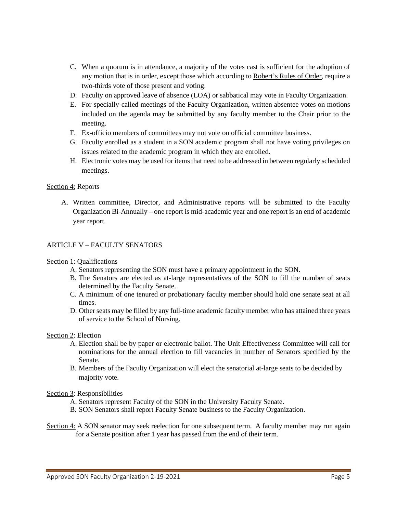- C. When a quorum is in attendance, a majority of the votes cast is sufficient for the adoption of any motion that is in order, except those which according to Robert's Rules of Order, require a two-thirds vote of those present and voting.
- D. Faculty on approved leave of absence (LOA) or sabbatical may vote in Faculty Organization.
- E. For specially-called meetings of the Faculty Organization, written absentee votes on motions included on the agenda may be submitted by any faculty member to the Chair prior to the meeting.
- F. Ex-officio members of committees may not vote on official committee business.
- G. Faculty enrolled as a student in a SON academic program shall not have voting privileges on issues related to the academic program in which they are enrolled.
- H. Electronic votes may be used for items that need to be addressed in between regularly scheduled meetings.

## Section 4: Reports

A. Written committee, Director, and Administrative reports will be submitted to the Faculty Organization Bi-Annually – one report is mid-academic year and one report is an end of academic year report.

## ARTICLE V – FACULTY SENATORS

#### Section 1: Qualifications

- A. Senators representing the SON must have a primary appointment in the SON.
- B. The Senators are elected as at-large representatives of the SON to fill the number of seats determined by the Faculty Senate.
- C. A minimum of one tenured or probationary faculty member should hold one senate seat at all times.
- D. Other seats may be filled by any full-time academic faculty member who has attained three years of service to the School of Nursing.

#### Section 2: Election

- A. Election shall be by paper or electronic ballot. The Unit Effectiveness Committee will call for nominations for the annual election to fill vacancies in number of Senators specified by the Senate.
- B. Members of the Faculty Organization will elect the senatorial at-large seats to be decided by majority vote.

#### Section 3: Responsibilities

- A. Senators represent Faculty of the SON in the University Faculty Senate.
- B. SON Senators shall report Faculty Senate business to the Faculty Organization.
- Section 4: A SON senator may seek reelection for one subsequent term. A faculty member may run again for a Senate position after 1 year has passed from the end of their term.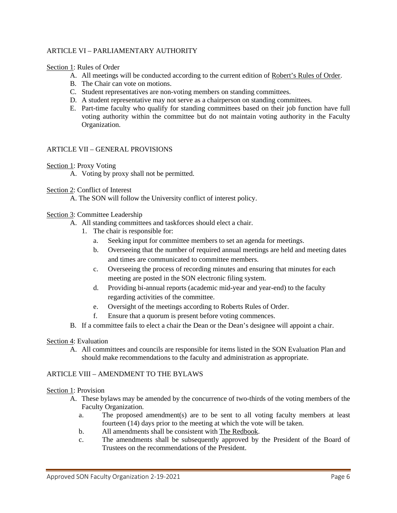## ARTICLE VI – PARLIAMENTARY AUTHORITY

#### Section 1: Rules of Order

- A. All meetings will be conducted according to the current edition of Robert's Rules of Order.
- B. The Chair can vote on motions.
- C. Student representatives are non-voting members on standing committees.
- D. A student representative may not serve as a chairperson on standing committees.
- E. Part-time faculty who qualify for standing committees based on their job function have full voting authority within the committee but do not maintain voting authority in the Faculty Organization.

#### ARTICLE VII – GENERAL PROVISIONS

#### Section 1: Proxy Voting

A. Voting by proxy shall not be permitted.

## Section 2: Conflict of Interest

A. The SON will follow the University conflict of interest policy.

#### Section 3: Committee Leadership

- A. All standing committees and taskforces should elect a chair.
	- 1. The chair is responsible for:
		- a. Seeking input for committee members to set an agenda for meetings.
		- b. Overseeing that the number of required annual meetings are held and meeting dates and times are communicated to committee members.
		- c. Overseeing the process of recording minutes and ensuring that minutes for each meeting are posted in the SON electronic filing system.
		- d. Providing bi-annual reports (academic mid-year and year-end) to the faculty regarding activities of the committee.
		- e. Oversight of the meetings according to Roberts Rules of Order.
		- f. Ensure that a quorum is present before voting commences.
- B. If a committee fails to elect a chair the Dean or the Dean's designee will appoint a chair.

#### Section 4: Evaluation

A. All committees and councils are responsible for items listed in the SON Evaluation Plan and should make recommendations to the faculty and administration as appropriate.

## ARTICLE VIII – AMENDMENT TO THE BYLAWS

#### Section 1: Provision

- A. These bylaws may be amended by the concurrence of two-thirds of the voting members of the Faculty Organization.
	- a. The proposed amendment(s) are to be sent to all voting faculty members at least fourteen (14) days prior to the meeting at which the vote will be taken.
	- b. All amendments shall be consistent with The Redbook.
	- c. The amendments shall be subsequently approved by the President of the Board of Trustees on the recommendations of the President.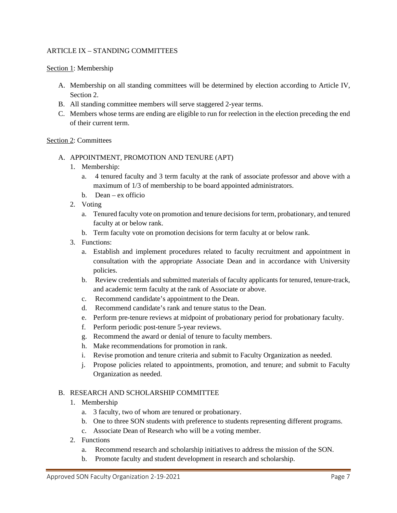## ARTICLE IX – STANDING COMMITTEES

Section 1: Membership

- A. Membership on all standing committees will be determined by election according to Article IV, Section 2.
- B. All standing committee members will serve staggered 2-year terms.
- C. Members whose terms are ending are eligible to run for reelection in the election preceding the end of their current term.

## Section 2: Committees

- A. APPOINTMENT, PROMOTION AND TENURE (APT)
	- 1. Membership:
		- a. 4 tenured faculty and 3 term faculty at the rank of associate professor and above with a maximum of 1/3 of membership to be board appointed administrators.
		- b. Dean ex officio
	- 2. Voting
		- a. Tenured faculty vote on promotion and tenure decisions for term, probationary, and tenured faculty at or below rank.
		- b. Term faculty vote on promotion decisions for term faculty at or below rank.
	- 3. Functions:
		- a. Establish and implement procedures related to faculty recruitment and appointment in consultation with the appropriate Associate Dean and in accordance with University policies.
		- b. Review credentials and submitted materials of faculty applicants for tenured, tenure-track, and academic term faculty at the rank of Associate or above.
		- c. Recommend candidate's appointment to the Dean.
		- d. Recommend candidate's rank and tenure status to the Dean.
		- e. Perform pre-tenure reviews at midpoint of probationary period for probationary faculty.
		- f. Perform periodic post-tenure 5-year reviews.
		- g. Recommend the award or denial of tenure to faculty members.
		- h. Make recommendations for promotion in rank.
		- i. Revise promotion and tenure criteria and submit to Faculty Organization as needed.
		- j. Propose policies related to appointments, promotion, and tenure; and submit to Faculty Organization as needed.

## B. RESEARCH AND SCHOLARSHIP COMMITTEE

- 1. Membership
	- a. 3 faculty, two of whom are tenured or probationary.
	- b. One to three SON students with preference to students representing different programs.
	- c. Associate Dean of Research who will be a voting member.
- 2. Functions
	- a. Recommend research and scholarship initiatives to address the mission of the SON.
	- b. Promote faculty and student development in research and scholarship.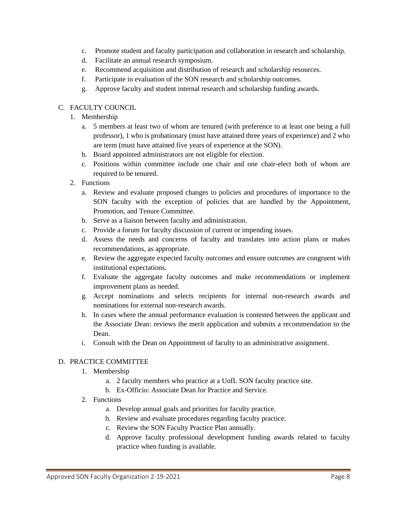- c. Promote student and faculty participation and collaboration in research and scholarship.
- d. Facilitate an annual research symposium.
- e. Recommend acquisition and distribution of research and scholarship resources.
- f. Participate in evaluation of the SON research and scholarship outcomes.
- g. Approve faculty and student internal research and scholarship funding awards.

# C. FACULTY COUNCIL

- 1. Membership
	- a. 5 members at least two of whom are tenured (with preference to at least one being a full professor), 1 who is probationary (must have attained three years of experience) and 2 who are term (must have attained five years of experience at the SON).
	- b. Board appointed administrators are not eligible for election.
	- c. Positions within committee include one chair and one chair-elect both of whom are required to be tenured.
- 2. Functions
	- a. Review and evaluate proposed changes to policies and procedures of importance to the SON faculty with the exception of policies that are handled by the Appointment, Promotion, and Tenure Committee.
	- b. Serve as a liaison between faculty and administration.
	- c. Provide a forum for faculty discussion of current or impending issues.
	- d. Assess the needs and concerns of faculty and translates into action plans or makes recommendations, as appropriate.
	- e. Review the aggregate expected faculty outcomes and ensure outcomes are congruent with institutional expectations.
	- f. Evaluate the aggregate faculty outcomes and make recommendations or implement improvement plans as needed.
	- g. Accept nominations and selects recipients for internal non-research awards and nominations for external non-research awards.
	- h. In cases where the annual performance evaluation is contested between the applicant and the Associate Dean: reviews the merit application and submits a recommendation to the Dean.
	- i. Consult with the Dean on Appointment of faculty to an administrative assignment.

# D. PRACTICE COMMITTEE

- 1. Membership
	- a. 2 faculty members who practice at a UofL SON faculty practice site.
	- b. Ex-Officio: Associate Dean for Practice and Service.
- 2. Functions
	- a. Develop annual goals and priorities for faculty practice.
	- b. Review and evaluate procedures regarding faculty practice.
	- c. Review the SON Faculty Practice Plan annually.
	- d. Approve faculty professional development funding awards related to faculty practice when funding is available.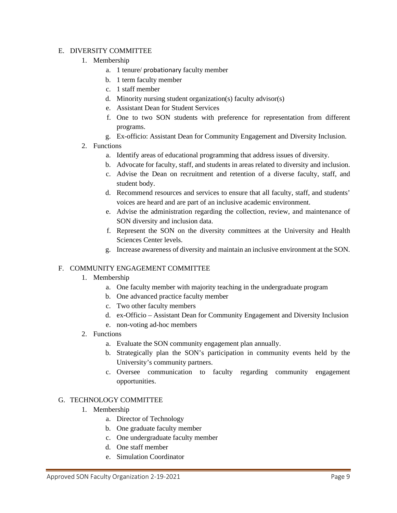## E. DIVERSITY COMMITTEE

- 1. Membership
	- a. 1 tenure/ probationary faculty member
	- b. 1 term faculty member
	- c. 1 staff member
	- d. Minority nursing student organization(s) faculty advisor(s)
	- e. Assistant Dean for Student Services
	- f. One to two SON students with preference for representation from different programs.
	- g. Ex-officio: Assistant Dean for Community Engagement and Diversity Inclusion.
- 2. Functions
	- a. Identify areas of educational programming that address issues of diversity.
	- b. Advocate for faculty, staff, and students in areas related to diversity and inclusion.
	- c. Advise the Dean on recruitment and retention of a diverse faculty, staff, and student body.
	- d. Recommend resources and services to ensure that all faculty, staff, and students' voices are heard and are part of an inclusive academic environment.
	- e. Advise the administration regarding the collection, review, and maintenance of SON diversity and inclusion data.
	- f. Represent the SON on the diversity committees at the University and Health Sciences Center levels.
	- g. Increase awareness of diversity and maintain an inclusive environment at the SON.

#### F. COMMUNITY ENGAGEMENT COMMITTEE

- 1. Membership
	- a. One faculty member with majority teaching in the undergraduate program
	- b. One advanced practice faculty member
	- c. Two other faculty members
	- d. ex-Officio Assistant Dean for Community Engagement and Diversity Inclusion
	- e. non-voting ad-hoc members
- 2. Functions
	- a. Evaluate the SON community engagement plan annually.
	- b. Strategically plan the SON's participation in community events held by the University's community partners.
	- c. Oversee communication to faculty regarding community engagement opportunities.

#### G. TECHNOLOGY COMMITTEE

- 1. Membership
	- a. Director of Technology
	- b. One graduate faculty member
	- c. One undergraduate faculty member
	- d. One staff member
	- e. Simulation Coordinator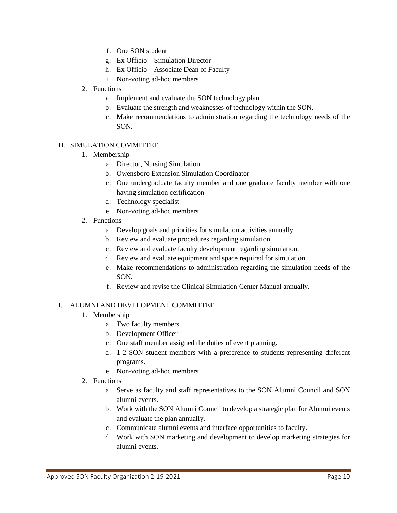- f. One SON student
- g. Ex Officio Simulation Director
- h. Ex Officio Associate Dean of Faculty
- i. Non-voting ad-hoc members
- 2. Functions
	- a. Implement and evaluate the SON technology plan.
	- b. Evaluate the strength and weaknesses of technology within the SON.
	- c. Make recommendations to administration regarding the technology needs of the SON.

## H. SIMULATION COMMITTEE

- 1. Membership
	- a. Director, Nursing Simulation
	- b. Owensboro Extension Simulation Coordinator
	- c. One undergraduate faculty member and one graduate faculty member with one having simulation certification
	- d. Technology specialist
	- e. Non-voting ad-hoc members
- 2. Functions
	- a. Develop goals and priorities for simulation activities annually.
	- b. Review and evaluate procedures regarding simulation.
	- c. Review and evaluate faculty development regarding simulation.
	- d. Review and evaluate equipment and space required for simulation.
	- e. Make recommendations to administration regarding the simulation needs of the SON.
	- f. Review and revise the Clinical Simulation Center Manual annually.

## I. ALUMNI AND DEVELOPMENT COMMITTEE

- 1. Membership
	- a. Two faculty members
	- b. Development Officer
	- c. One staff member assigned the duties of event planning.
	- d. 1-2 SON student members with a preference to students representing different programs.
	- e. Non-voting ad-hoc members
- 2. Functions
	- a. Serve as faculty and staff representatives to the SON Alumni Council and SON alumni events.
	- b. Work with the SON Alumni Council to develop a strategic plan for Alumni events and evaluate the plan annually.
	- c. Communicate alumni events and interface opportunities to faculty.
	- d. Work with SON marketing and development to develop marketing strategies for alumni events.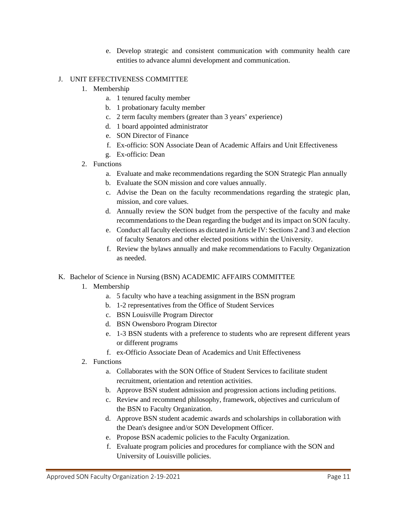e. Develop strategic and consistent communication with community health care entities to advance alumni development and communication.

## J. UNIT EFFECTIVENESS COMMITTEE

- 1. Membership
	- a. 1 tenured faculty member
	- b. 1 probationary faculty member
	- c. 2 term faculty members (greater than 3 years' experience)
	- d. 1 board appointed administrator
	- e. SON Director of Finance
	- f. Ex-officio: SON Associate Dean of Academic Affairs and Unit Effectiveness
	- g. Ex-officio: Dean
- 2. Functions
	- a. Evaluate and make recommendations regarding the SON Strategic Plan annually
	- b. Evaluate the SON mission and core values annually.
	- c. Advise the Dean on the faculty recommendations regarding the strategic plan, mission, and core values.
	- d. Annually review the SON budget from the perspective of the faculty and make recommendations to the Dean regarding the budget and its impact on SON faculty.
	- e. Conduct all faculty elections as dictated in Article IV: Sections 2 and 3 and election of faculty Senators and other elected positions within the University.
	- f. Review the bylaws annually and make recommendations to Faculty Organization as needed.

## K. Bachelor of Science in Nursing (BSN) ACADEMIC AFFAIRS COMMITTEE

- 1. Membership
	- a. 5 faculty who have a teaching assignment in the BSN program
	- b. 1-2 representatives from the Office of Student Services
	- c. BSN Louisville Program Director
	- d. BSN Owensboro Program Director
	- e. 1-3 BSN students with a preference to students who are represent different years or different programs
	- f. ex-Officio Associate Dean of Academics and Unit Effectiveness
- 2. Functions
	- a. Collaborates with the SON Office of Student Services to facilitate student recruitment, orientation and retention activities.
	- b. Approve BSN student admission and progression actions including petitions.
	- c. Review and recommend philosophy, framework, objectives and curriculum of the BSN to Faculty Organization.
	- d. Approve BSN student academic awards and scholarships in collaboration with the Dean's designee and/or SON Development Officer.
	- e. Propose BSN academic policies to the Faculty Organization.
	- f. Evaluate program policies and procedures for compliance with the SON and University of Louisville policies.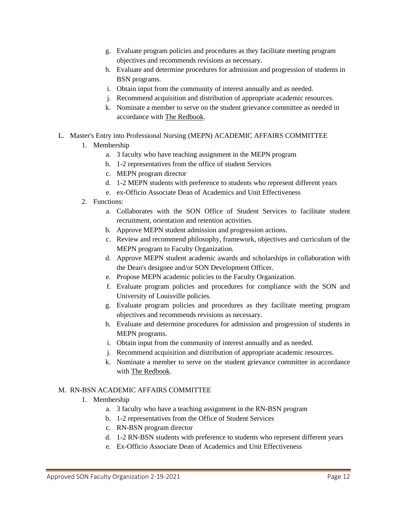- g. Evaluate program policies and procedures as they facilitate meeting program objectives and recommends revisions as necessary.
- h. Evaluate and determine procedures for admission and progression of students in BSN programs.
- i. Obtain input from the community of interest annually and as needed.
- j. Recommend acquisition and distribution of appropriate academic resources.
- k. Nominate a member to serve on the student grievance committee as needed in accordance with The Redbook.
- L. Master's Entry into Professional Nursing (MEPN) ACADEMIC AFFAIRS COMMITTEE
	- 1. Membership
		- a. 3 faculty who have teaching assignment in the MEPN program
		- b. 1-2 representatives from the office of student Services
		- c. MEPN program director
		- d. 1-2 MEPN students with preference to students who represent different years
		- e. ex-Officio Associate Dean of Academics and Unit Effectiveness
	- 2. Functions:
		- a. Collaborates with the SON Office of Student Services to facilitate student recruitment, orientation and retention activities.
		- b. Approve MEPN student admission and progression actions.
		- c. Review and recommend philosophy, framework, objectives and curriculum of the MEPN program to Faculty Organization.
		- d. Approve MEPN student academic awards and scholarships in collaboration with the Dean's designee and/or SON Development Officer.
		- e. Propose MEPN academic policies to the Faculty Organization.
		- f. Evaluate program policies and procedures for compliance with the SON and University of Louisville policies.
		- g. Evaluate program policies and procedures as they facilitate meeting program objectives and recommends revisions as necessary.
		- h. Evaluate and determine procedures for admission and progression of students in MEPN programs.
		- i. Obtain input from the community of interest annually and as needed.
		- j. Recommend acquisition and distribution of appropriate academic resources.
		- k. Nominate a member to serve on the student grievance committee in accordance with The Redbook.

## M. RN-BSN ACADEMIC AFFAIRS COMMITTEE

- 1. Membership
	- a. 3 faculty who have a teaching assignment in the RN-BSN program
	- b. 1-2 representatives from the Office of Student Services
	- c. RN-BSN program director
	- d. 1-2 RN-BSN students with preference to students who represent different years
	- e. Ex-Officio Associate Dean of Academics and Unit Effectiveness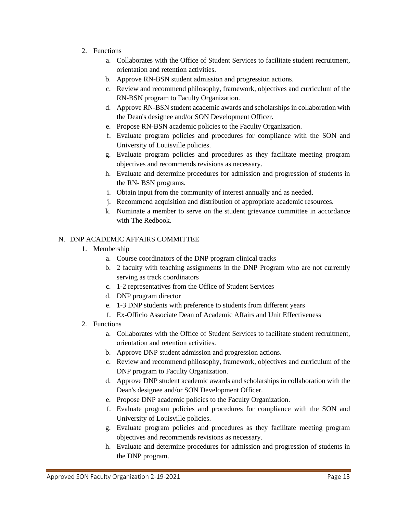- 2. Functions
	- a. Collaborates with the Office of Student Services to facilitate student recruitment, orientation and retention activities.
	- b. Approve RN-BSN student admission and progression actions.
	- c. Review and recommend philosophy, framework, objectives and curriculum of the RN-BSN program to Faculty Organization.
	- d. Approve RN-BSN student academic awards and scholarships in collaboration with the Dean's designee and/or SON Development Officer.
	- e. Propose RN-BSN academic policies to the Faculty Organization.
	- f. Evaluate program policies and procedures for compliance with the SON and University of Louisville policies.
	- g. Evaluate program policies and procedures as they facilitate meeting program objectives and recommends revisions as necessary.
	- h. Evaluate and determine procedures for admission and progression of students in the RN- BSN programs.
	- i. Obtain input from the community of interest annually and as needed.
	- j. Recommend acquisition and distribution of appropriate academic resources.
	- k. Nominate a member to serve on the student grievance committee in accordance with The Redbook.

## N. DNP ACADEMIC AFFAIRS COMMITTEE

- 1. Membership
	- a. Course coordinators of the DNP program clinical tracks
	- b. 2 faculty with teaching assignments in the DNP Program who are not currently serving as track coordinators
	- c. 1-2 representatives from the Office of Student Services
	- d. DNP program director
	- e. 1-3 DNP students with preference to students from different years
	- f. Ex-Officio Associate Dean of Academic Affairs and Unit Effectiveness
- 2. Functions
	- a. Collaborates with the Office of Student Services to facilitate student recruitment, orientation and retention activities.
	- b. Approve DNP student admission and progression actions.
	- c. Review and recommend philosophy, framework, objectives and curriculum of the DNP program to Faculty Organization.
	- d. Approve DNP student academic awards and scholarships in collaboration with the Dean's designee and/or SON Development Officer.
	- e. Propose DNP academic policies to the Faculty Organization.
	- f. Evaluate program policies and procedures for compliance with the SON and University of Louisville policies.
	- g. Evaluate program policies and procedures as they facilitate meeting program objectives and recommends revisions as necessary.
	- h. Evaluate and determine procedures for admission and progression of students in the DNP program.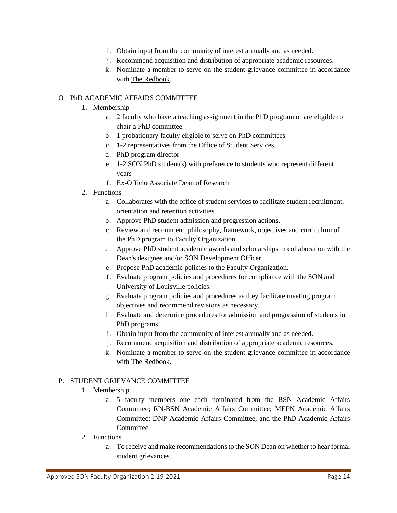- i. Obtain input from the community of interest annually and as needed.
- j. Recommend acquisition and distribution of appropriate academic resources.
- k. Nominate a member to serve on the student grievance committee in accordance with The Redbook.

# O. PhD ACADEMIC AFFAIRS COMMITTEE

- 1. Membership
	- a. 2 faculty who have a teaching assignment in the PhD program or are eligible to chair a PhD committee
	- b. 1 probationary faculty eligible to serve on PhD committees
	- c. 1-2 representatives from the Office of Student Services
	- d. PhD program director
	- e. 1-2 SON PhD student(s) with preference to students who represent different years
	- f. Ex-Officio Associate Dean of Research
- 2. Functions
	- a. Collaborates with the office of student services to facilitate student recruitment, orientation and retention activities.
	- b. Approve PhD student admission and progression actions.
	- c. Review and recommend philosophy, framework, objectives and curriculum of the PhD program to Faculty Organization.
	- d. Approve PhD student academic awards and scholarships in collaboration with the Dean's designee and/or SON Development Officer.
	- e. Propose PhD academic policies to the Faculty Organization.
	- f. Evaluate program policies and procedures for compliance with the SON and University of Louisville policies.
	- g. Evaluate program policies and procedures as they facilitate meeting program objectives and recommend revisions as necessary.
	- h. Evaluate and determine procedures for admission and progression of students in PhD programs
	- i. Obtain input from the community of interest annually and as needed.
	- j. Recommend acquisition and distribution of appropriate academic resources.
	- k. Nominate a member to serve on the student grievance committee in accordance with The Redbook.

## P. STUDENT GRIEVANCE COMMITTEE

- 1. Membership
	- a. 5 faculty members one each nominated from the BSN Academic Affairs Committee; RN-BSN Academic Affairs Committee; MEPN Academic Affairs Committee; DNP Academic Affairs Committee, and the PhD Academic Affairs Committee
- 2. Functions
	- a. To receive and make recommendations to the SON Dean on whether to hear formal student grievances.